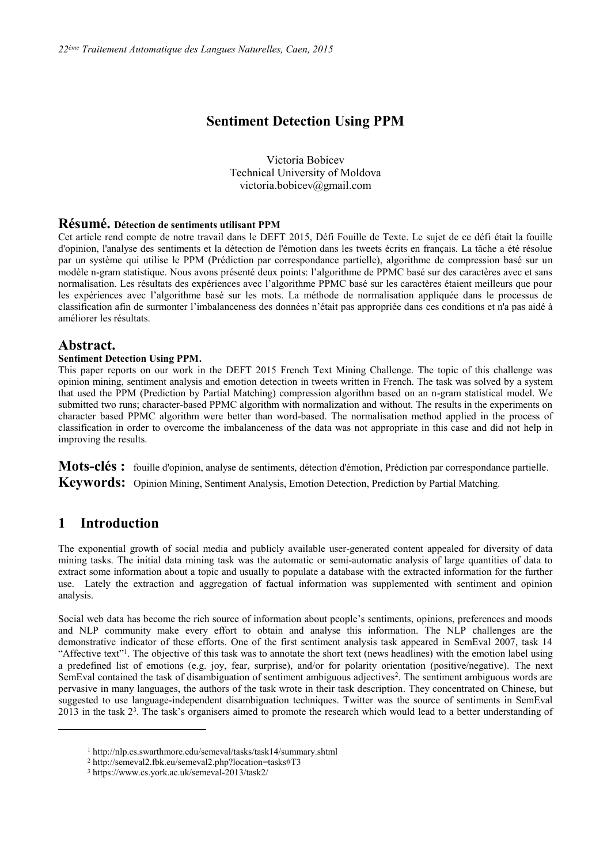## **Sentiment Detection Using PPM**

Victoria Bobicev Technical University of Moldova victoria.bobicev@gmail.com

### **Résumé. Détection de sentiments utilisant PPM**

Cet article rend compte de notre travail dans le DEFT 2015, Défi Fouille de Texte. Le sujet de ce défi était la fouille d'opinion, l'analyse des sentiments et la détection de l'émotion dans les tweets écrits en français. La tâche a été résolue par un système qui utilise le PPM (Prédiction par correspondance partielle), algorithme de compression basé sur un modèle n-gram statistique. Nous avons présenté deux points: l'algorithme de PPMC basé sur des caractères avec et sans normalisation. Les résultats des expériences avec l'algorithme PPMC basé sur les caractères étaient meilleurs que pour les expériences avec l'algorithme basé sur les mots. La méthode de normalisation appliquée dans le processus de classification afin de surmonter l'imbalanceness des données n'était pas appropriée dans ces conditions et n'a pas aidé à améliorer les résultats.

### **Abstract.**

#### **Sentiment Detection Using PPM.**

This paper reports on our work in the DEFT 2015 French Text Mining Challenge. The topic of this challenge was opinion mining, sentiment analysis and emotion detection in tweets written in French. The task was solved by a system that used the PPM (Prediction by Partial Matching) compression algorithm based on an n-gram statistical model. We submitted two runs; character-based PPMC algorithm with normalization and without. The results in the experiments on character based PPMC algorithm were better than word-based. The normalisation method applied in the process of classification in order to overcome the imbalanceness of the data was not appropriate in this case and did not help in improving the results.

**Mots-clés :** fouille d'opinion, analyse de sentiments, détection d'émotion, Prédiction par correspondance partielle. **Keywords:** Opinion Mining, Sentiment Analysis, Emotion Detection, Prediction by Partial Matching.

## **1 Introduction**

 $\overline{a}$ 

The exponential growth of social media and publicly available user-generated content appealed for diversity of data mining tasks. The initial data mining task was the automatic or semi-automatic analysis of large quantities of data to extract some information about a topic and usually to populate a database with the extracted information for the further use. Lately the extraction and aggregation of factual information was supplemented with sentiment and opinion analysis.

Social web data has become the rich source of information about people's sentiments, opinions, preferences and moods and NLP community make every effort to obtain and analyse this information. The NLP challenges are the demonstrative indicator of these efforts. One of the first sentiment analysis task appeared in SemEval 2007, task 14 "Affective text"<sup>1</sup>. The objective of this task was to annotate the short text (news headlines) with the emotion label using a predefined list of emotions (e.g. joy, fear, surprise), and/or for polarity orientation (positive/negative). The next SemEval contained the task of disambiguation of sentiment ambiguous adjectives<sup>2</sup>. The sentiment ambiguous words are pervasive in many languages, the authors of the task wrote in their task description. They concentrated on Chinese, but suggested to use language-independent disambiguation techniques. Twitter was the source of sentiments in SemEval 2013 in the task 2<sup>3</sup> . The task's organisers aimed to promote the research which would lead to a better understanding of

<sup>1</sup> http://nlp.cs.swarthmore.edu/semeval/tasks/task14/summary.shtml

<sup>2</sup> http://semeval2.fbk.eu/semeval2.php?location=tasks#T3

<sup>3</sup> https://www.cs.york.ac.uk/semeval-2013/task2/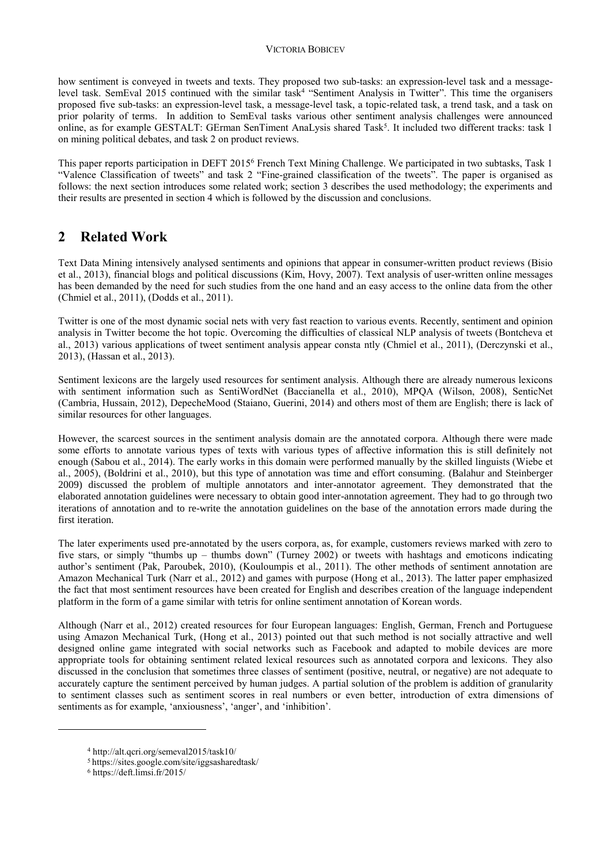#### VICTORIA BOBICEV

how sentiment is conveyed in tweets and texts. They proposed two sub-tasks: an expression-level task and a messagelevel task. SemEval 2015 continued with the similar task<sup>4</sup> "Sentiment Analysis in Twitter". This time the organisers proposed five sub-tasks: an expression-level task, a message-level task, a topic-related task, a trend task, and a task on prior polarity of terms. In addition to SemEval tasks various other sentiment analysis challenges were announced online, as for example GESTALT: GErman SenTiment AnaLysis shared Task<sup>5</sup>. It included two different tracks: task 1 on mining political debates, and task 2 on product reviews.

This paper reports participation in DEFT 2015<sup>6</sup> French Text Mining Challenge. We participated in two subtasks, Task 1 "Valence Classification of tweets" and task 2 "Fine-grained classification of the tweets". The paper is organised as follows: the next section introduces some related work; section 3 describes the used methodology; the experiments and their results are presented in section 4 which is followed by the discussion and conclusions.

# **2 Related Work**

Text Data Mining intensively analysed sentiments and opinions that appear in consumer-written product reviews (Bisio et al., 2013), financial blogs and political discussions (Kim, Hovy, 2007). Text analysis of user-written online messages has been demanded by the need for such studies from the one hand and an easy access to the online data from the other (Chmiel et al., 2011), (Dodds et al., 2011).

Twitter is one of the most dynamic social nets with very fast reaction to various events. Recently, sentiment and opinion analysis in Twitter become the hot topic. Overcoming the difficulties of classical NLP analysis of tweets (Bontcheva et al., 2013) various applications of tweet sentiment analysis appear consta ntly (Chmiel et al., 2011), (Derczynski et al., 2013), (Hassan et al., 2013).

Sentiment lexicons are the largely used resources for sentiment analysis. Although there are already numerous lexicons with sentiment information such as SentiWordNet (Baccianella et al., 2010), MPOA (Wilson, 2008), SenticNet (Cambria, Hussain, 2012), DepecheMood (Staiano, Guerini, 2014) and others most of them are English; there is lack of similar resources for other languages.

However, the scarcest sources in the sentiment analysis domain are the annotated corpora. Although there were made some efforts to annotate various types of texts with various types of affective information this is still definitely not enough (Sabou et al., 2014). The early works in this domain were performed manually by the skilled linguists (Wiebe et al., 2005), (Boldrini et al., 2010), but this type of annotation was time and effort consuming. (Balahur and Steinberger 2009) discussed the problem of multiple annotators and inter-annotator agreement. They demonstrated that the elaborated annotation guidelines were necessary to obtain good inter-annotation agreement. They had to go through two iterations of annotation and to re-write the annotation guidelines on the base of the annotation errors made during the first iteration.

The later experiments used pre-annotated by the users corpora, as, for example, customers reviews marked with zero to five stars, or simply "thumbs up – thumbs down" (Turney 2002) or tweets with hashtags and emoticons indicating author's sentiment (Pak, Paroubek, 2010), (Kouloumpis et al., 2011). The other methods of sentiment annotation are Amazon Mechanical Turk (Narr et al., 2012) and games with purpose (Hong et al., 2013). The latter paper emphasized the fact that most sentiment resources have been created for English and describes creation of the language independent platform in the form of a game similar with tetris for online sentiment annotation of Korean words.

Although (Narr et al., 2012) created resources for four European languages: English, German, French and Portuguese using Amazon Mechanical Turk, (Hong et al., 2013) pointed out that such method is not socially attractive and well designed online game integrated with social networks such as Facebook and adapted to mobile devices are more appropriate tools for obtaining sentiment related lexical resources such as annotated corpora and lexicons. They also discussed in the conclusion that sometimes three classes of sentiment (positive, neutral, or negative) are not adequate to accurately capture the sentiment perceived by human judges. A partial solution of the problem is addition of granularity to sentiment classes such as sentiment scores in real numbers or even better, introduction of extra dimensions of sentiments as for example, 'anxiousness', 'anger', and 'inhibition'.

 $\overline{a}$ 

<sup>4</sup> http://alt.qcri.org/semeval2015/task10/

<sup>5</sup> https://sites.google.com/site/iggsasharedtask/

<sup>6</sup> https://deft.limsi.fr/2015/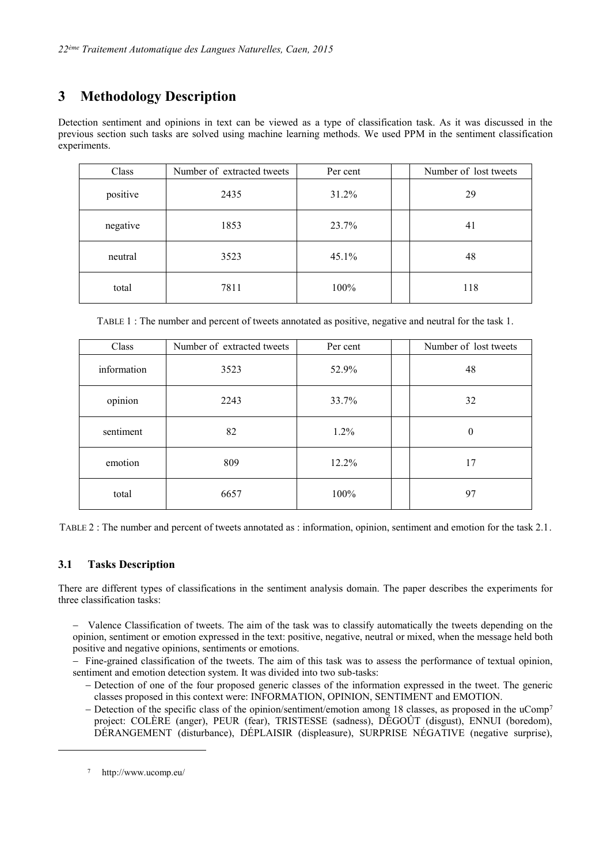# **3 Methodology Description**

Detection sentiment and opinions in text can be viewed as a type of classification task. As it was discussed in the previous section such tasks are solved using machine learning methods. We used PPM in the sentiment classification experiments.

| Class    | Number of extracted tweets | Per cent | Number of lost tweets |
|----------|----------------------------|----------|-----------------------|
| positive | 2435                       | 31.2%    | 29                    |
| negative | 1853                       | 23.7%    | 41                    |
| neutral  | 3523                       | 45.1%    | 48                    |
| total    | 7811                       | 100%     | 118                   |

TABLE 1 : The number and percent of tweets annotated as positive, negative and neutral for the task 1.

| Class       | Number of extracted tweets | Per cent | Number of lost tweets |
|-------------|----------------------------|----------|-----------------------|
| information | 3523                       | 52.9%    | 48                    |
| opinion     | 2243                       | 33.7%    | 32                    |
| sentiment   | 82                         | 1.2%     | $\theta$              |
| emotion     | 809                        | 12.2%    | 17                    |
| total       | 6657                       | 100%     | 97                    |

TABLE 2 : The number and percent of tweets annotated as : information, opinion, sentiment and emotion for the task 2.1.

## **3.1 Tasks Description**

There are different types of classifications in the sentiment analysis domain. The paper describes the experiments for three classification tasks:

- Valence Classification of tweets. The aim of the task was to classify automatically the tweets depending on the opinion, sentiment or emotion expressed in the text: positive, negative, neutral or mixed, when the message held both positive and negative opinions, sentiments or emotions.

- Fine-grained classification of the tweets. The aim of this task was to assess the performance of textual opinion, sentiment and emotion detection system. It was divided into two sub-tasks:

- Detection of one of the four proposed generic classes of the information expressed in the tweet. The generic classes proposed in this context were: INFORMATION, OPINION, SENTIMENT and EMOTION.
- $-$  Detection of the specific class of the opinion/sentiment/emotion among 18 classes, as proposed in the uComp<sup>7</sup> project: COLÈRE (anger), PEUR (fear), TRISTESSE (sadness), DÉGOÛT (disgust), ENNUI (boredom), DÉRANGEMENT (disturbance), DÉPLAISIR (displeasure), SURPRISE NÉGATIVE (negative surprise),

 $\overline{a}$ 

<sup>7</sup> http://www.ucomp.eu/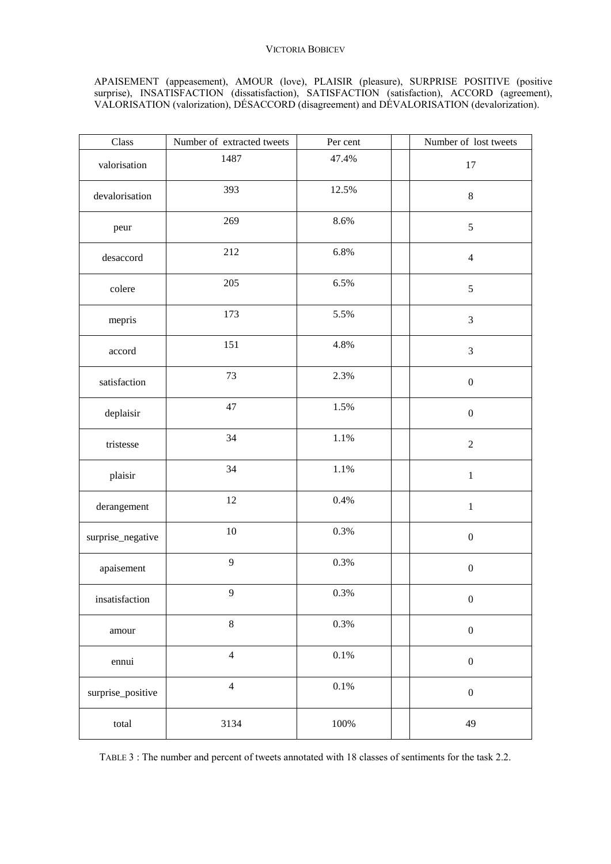### VICTORIA BOBICEV

### APAISEMENT (appeasement), AMOUR (love), PLAISIR (pleasure), SURPRISE POSITIVE (positive surprise), INSATISFACTION (dissatisfaction), SATISFACTION (satisfaction), ACCORD (agreement), VALORISATION (valorization), DÉSACCORD (disagreement) and DÉVALORISATION (devalorization).

| $\rm Class$       | Number of extracted tweets | Per cent | Number of lost tweets |
|-------------------|----------------------------|----------|-----------------------|
| valorisation      | 1487                       | 47.4%    | 17                    |
| devalorisation    | 393                        | 12.5%    | $\,8\,$               |
| peur              | 269                        | 8.6%     | $\sqrt{5}$            |
| desaccord         | 212                        | 6.8%     | $\overline{4}$        |
| colere            | 205                        | 6.5%     | $\sqrt{5}$            |
| mepris            | 173                        | 5.5%     | $\mathfrak{Z}$        |
| accord            | 151                        | 4.8%     | $\mathfrak{Z}$        |
| satisfaction      | 73                         | 2.3%     | $\boldsymbol{0}$      |
| deplaisir         | 47                         | 1.5%     | $\boldsymbol{0}$      |
| tristesse         | 34                         | 1.1%     | $\overline{2}$        |
| plaisir           | 34                         | 1.1%     | $1\,$                 |
| derangement       | 12                         | 0.4%     | $\mathbf{1}$          |
| surprise_negative | $10\,$                     | 0.3%     | $\boldsymbol{0}$      |
| apaisement        | 9                          | 0.3%     | $\boldsymbol{0}$      |
| insatisfaction    | 9                          | 0.3%     | $\boldsymbol{0}$      |
| amour             | $\,8\,$                    | $0.3\%$  | $\boldsymbol{0}$      |
| ennui             | $\overline{4}$             | $0.1\%$  | $\boldsymbol{0}$      |
| surprise_positive | $\overline{4}$             | $0.1\%$  | $\boldsymbol{0}$      |
| total             | 3134                       | $100\%$  | 49                    |

TABLE 3 : The number and percent of tweets annotated with 18 classes of sentiments for the task 2.2.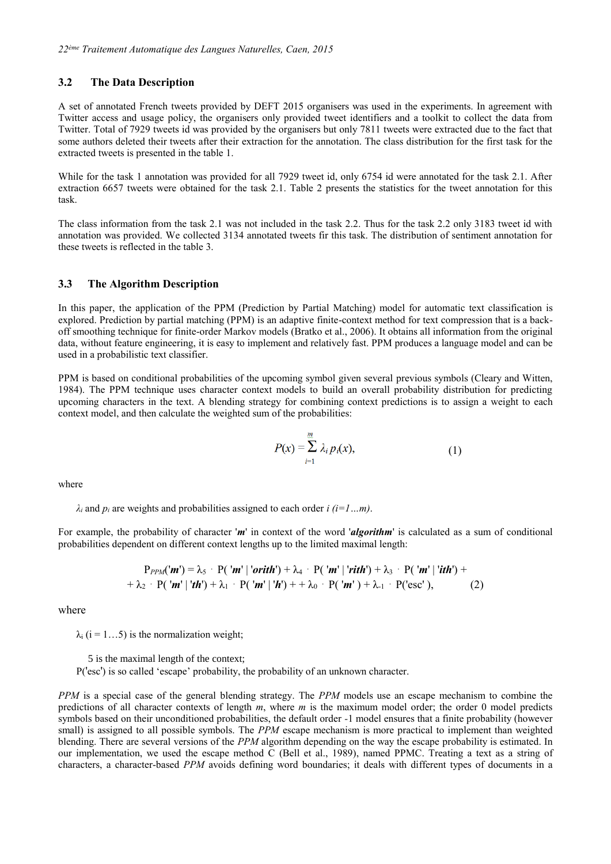#### **3.2 The Data Description**

A set of annotated French tweets provided by DEFT 2015 organisers was used in the experiments. In agreement with Twitter access and usage policy, the organisers only provided tweet identifiers and a toolkit to collect the data from Twitter. Total of 7929 tweets id was provided by the organisers but only 7811 tweets were extracted due to the fact that some authors deleted their tweets after their extraction for the annotation. The class distribution for the first task for the extracted tweets is presented in the table 1.

While for the task 1 annotation was provided for all 7929 tweet id, only 6754 id were annotated for the task 2.1. After extraction 6657 tweets were obtained for the task 2.1. Table 2 presents the statistics for the tweet annotation for this task.

The class information from the task 2.1 was not included in the task 2.2. Thus for the task 2.2 only 3183 tweet id with annotation was provided. We collected 3134 annotated tweets fir this task. The distribution of sentiment annotation for these tweets is reflected in the table 3.

#### **3.3 The Algorithm Description**

In this paper, the application of the PPM (Prediction by Partial Matching) model for automatic text classification is explored. Prediction by partial matching (PPM) is an adaptive finite-context method for text compression that is a backoff smoothing technique for finite-order Markov models (Bratko et al., 2006). It obtains all information from the original data, without feature engineering, it is easy to implement and relatively fast. PPM produces a language model and can be used in a probabilistic text classifier.

PPM is based on conditional probabilities of the upcoming symbol given several previous symbols (Cleary and Witten, 1984). The PPM technique uses character context models to build an overall probability distribution for predicting upcoming characters in the text. A blending strategy for combining context predictions is to assign a weight to each context model, and then calculate the weighted sum of the probabilities:

$$
P(x) = \sum_{i=1}^{m} \lambda_i p_i(x), \qquad (1)
$$

where

 $\lambda_i$  and  $p_i$  are weights and probabilities assigned to each order *i* (*i*=1…*m*).

For example, the probability of character '*m*' in context of the word '*algorithm*' is calculated as a sum of conditional probabilities dependent on different context lengths up to the limited maximal length:

$$
P_{PPM}(\mathbf{m}') = \lambda_{5} \cdot P(\mathbf{m}' \mid \mathbf{orith}') + \lambda_{4} \cdot P(\mathbf{m}' \mid \mathbf{rith}') + \lambda_{3} \cdot P(\mathbf{m}' \mid \mathbf{ith}') + \lambda_{2} \cdot P(\mathbf{m}' \mid \mathbf{ith}') + \lambda_{1} \cdot P(\mathbf{m}' \mid \mathbf{ih}') + \lambda_{0} \cdot P(\mathbf{m}' \mid \mathbf{h}') + \lambda_{1} \cdot P(\mathbf{csc}'), \qquad (2)
$$

where

 $\lambda_i$  (i = 1...5) is the normalization weight;

5 is the maximal length of the context;

P('esc') is so called 'escape' probability, the probability of an unknown character.

*PPM* is a special case of the general blending strategy. The *PPM* models use an escape mechanism to combine the predictions of all character contexts of length *m*, where *m* is the maximum model order; the order 0 model predicts symbols based on their unconditioned probabilities, the default order *-*1 model ensures that a finite probability (however small) is assigned to all possible symbols. The *PPM* escape mechanism is more practical to implement than weighted blending. There are several versions of the *PPM* algorithm depending on the way the escape probability is estimated. In our implementation, we used the escape method  $\bar{C}$  (Bell et al., 1989), named PPMC. Treating a text as a string of characters, a character-based *PPM* avoids defining word boundaries; it deals with different types of documents in a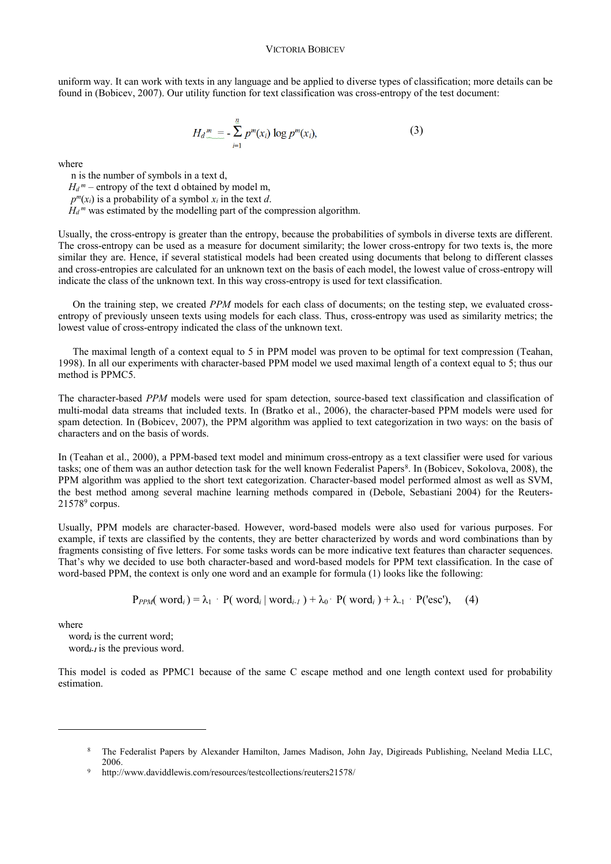uniform way. It can work with texts in any language and be applied to diverse types of classification; more details can be found in (Bobicev, 2007). Our utility function for text classification was cross-entropy of the test document:

$$
H_d^m = -\sum_{i=1}^n p^m(x_i) \log p^m(x_i), \qquad (3)
$$

where

 n is the number of symbols in a text d,  $H_d^m$  – entropy of the text d obtained by model m.  $p^{m}(x_i)$  is a probability of a symbol  $x_i$  in the text *d*.  $H_d^m$  was estimated by the modelling part of the compression algorithm.

Usually, the cross-entropy is greater than the entropy, because the probabilities of symbols in diverse texts are different. The cross-entropy can be used as a measure for document similarity; the lower cross-entropy for two texts is, the more similar they are. Hence, if several statistical models had been created using documents that belong to different classes and cross-entropies are calculated for an unknown text on the basis of each model, the lowest value of cross-entropy will indicate the class of the unknown text. In this way cross-entropy is used for text classification.

On the training step, we created *PPM* models for each class of documents; on the testing step, we evaluated crossentropy of previously unseen texts using models for each class. Thus, cross-entropy was used as similarity metrics; the lowest value of cross-entropy indicated the class of the unknown text.

The maximal length of a context equal to 5 in PPM model was proven to be optimal for text compression (Teahan, 1998). In all our experiments with character-based PPM model we used maximal length of a context equal to 5; thus our method is PPMC5.

The character-based *PPM* models were used for spam detection, source-based text classification and classification of multi-modal data streams that included texts. In (Bratko et al., 2006), the character-based PPM models were used for spam detection. In (Bobicev, 2007), the PPM algorithm was applied to text categorization in two ways: on the basis of characters and on the basis of words.

In (Teahan et al., 2000), a PPM-based text model and minimum cross-entropy as a text classifier were used for various tasks; one of them was an author detection task for the well known Federalist Papers<sup>8</sup>. In (Bobicev, Sokolova, 2008), the PPM algorithm was applied to the short text categorization. Character-based model performed almost as well as SVM, the best method among several machine learning methods compared in (Debole, Sebastiani 2004) for the Reuters- $21578<sup>9</sup>$  corpus.

Usually, PPM models are character-based. However, word-based models were also used for various purposes. For example, if texts are classified by the contents, they are better characterized by words and word combinations than by fragments consisting of five letters. For some tasks words can be more indicative text features than character sequences. That's why we decided to use both character-based and word-based models for PPM text classification. In the case of word-based PPM, the context is only one word and an example for formula (1) looks like the following:

$$
P_{PPM}(\text{word}_i) = \lambda_1 \cdot P(\text{word}_i | \text{word}_{i-1}) + \lambda_0 \cdot P(\text{word}_i) + \lambda_1 \cdot P(\text{'esc}'), (4)
$$

where

 $\overline{a}$ 

 word*<sup>i</sup>* is the current word; word*i-1* is the previous word.

This model is coded as PPMC1 because of the same C escape method and one length context used for probability estimation.

<sup>8</sup> The Federalist Papers by Alexander Hamilton, James Madison, John Jay, Digireads Publishing, Neeland Media LLC, 2006.

http://www.daviddlewis.com/resources/testcollections/reuters21578/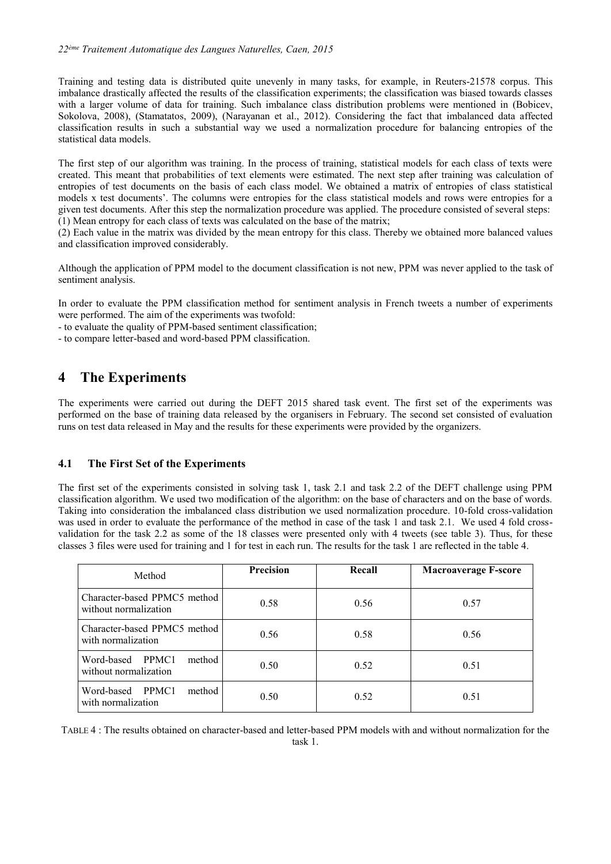Training and testing data is distributed quite unevenly in many tasks, for example, in Reuters-21578 corpus. This imbalance drastically affected the results of the classification experiments; the classification was biased towards classes with a larger volume of data for training. Such imbalance class distribution problems were mentioned in (Bobicev, Sokolova, 2008), (Stamatatos, 2009), (Narayanan et al., 2012). Considering the fact that imbalanced data affected classification results in such a substantial way we used a normalization procedure for balancing entropies of the statistical data models.

The first step of our algorithm was training. In the process of training, statistical models for each class of texts were created. This meant that probabilities of text elements were estimated. The next step after training was calculation of entropies of test documents on the basis of each class model. We obtained a matrix of entropies of class statistical models x test documents'. The columns were entropies for the class statistical models and rows were entropies for a given test documents. After this step the normalization procedure was applied. The procedure consisted of several steps: (1) Mean entropy for each class of texts was calculated on the base of the matrix;

(2) Each value in the matrix was divided by the mean entropy for this class. Thereby we obtained more balanced values and classification improved considerably.

Although the application of PPM model to the document classification is not new, PPM was never applied to the task of sentiment analysis.

In order to evaluate the PPM classification method for sentiment analysis in French tweets a number of experiments were performed. The aim of the experiments was twofold:

- to evaluate the quality of PPM-based sentiment classification;

- to compare letter-based and word-based PPM classification.

# **4 The Experiments**

The experiments were carried out during the DEFT 2015 shared task event. The first set of the experiments was performed on the base of training data released by the organisers in February. The second set consisted of evaluation runs on test data released in May and the results for these experiments were provided by the organizers.

### **4.1 The First Set of the Experiments**

The first set of the experiments consisted in solving task 1, task 2.1 and task 2.2 of the DEFT challenge using PPM classification algorithm. We used two modification of the algorithm: on the base of characters and on the base of words. Taking into consideration the imbalanced class distribution we used normalization procedure. 10-fold cross-validation was used in order to evaluate the performance of the method in case of the task 1 and task 2.1. We used 4 fold crossvalidation for the task 2.2 as some of the 18 classes were presented only with 4 tweets (see table 3). Thus, for these classes 3 files were used for training and 1 for test in each run. The results for the task 1 are reflected in the table 4.

| Method                                                | <b>Precision</b> | Recall | <b>Macroaverage F-score</b> |
|-------------------------------------------------------|------------------|--------|-----------------------------|
| Character-based PPMC5 method<br>without normalization | 0.58             | 0.56   | 0.57                        |
| Character-based PPMC5 method<br>with normalization    | 0.56             | 0.58   | 0.56                        |
| Word-based PPMC1<br>method<br>without normalization   | 0.50             | 0.52   | 0.51                        |
| Word-based<br>method<br>PPMC1<br>with normalization   | 0.50             | 0.52   | 0.51                        |

TABLE 4 : The results obtained on character-based and letter-based PPM models with and without normalization for the task 1.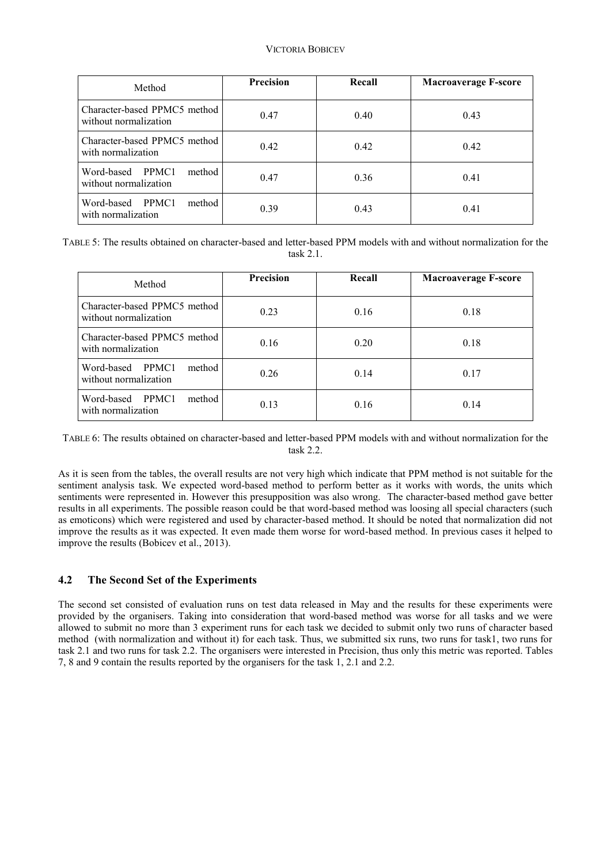### VICTORIA BOBICEV

| Method                                                | Precision | Recall | <b>Macroaverage F-score</b> |
|-------------------------------------------------------|-----------|--------|-----------------------------|
| Character-based PPMC5 method<br>without normalization | 0.47      | 0.40   | 0.43                        |
| Character-based PPMC5 method<br>with normalization    | 0.42      | 0.42   | 0.42                        |
| Word-based PPMC1<br>method<br>without normalization   | 0.47      | 0.36   | 0.41                        |
| Word-based<br>method<br>PPMC1<br>with normalization   | 0.39      | 0.43   | 0.41                        |

TABLE 5: The results obtained on character-based and letter-based PPM models with and without normalization for the task 2.1.

| Method                                                | <b>Precision</b> | Recall | <b>Macroaverage F-score</b> |
|-------------------------------------------------------|------------------|--------|-----------------------------|
| Character-based PPMC5 method<br>without normalization | 0.23             | 0.16   | 0.18                        |
| Character-based PPMC5 method<br>with normalization    | 0.16             | 0.20   | 0.18                        |
| Word-based PPMC1<br>method<br>without normalization   | 0.26             | 0.14   | 0.17                        |
| Word-based PPMC1<br>method<br>with normalization      | 0.13             | 0.16   | 0.14                        |

TABLE 6: The results obtained on character-based and letter-based PPM models with and without normalization for the task 2.2.

As it is seen from the tables, the overall results are not very high which indicate that PPM method is not suitable for the sentiment analysis task. We expected word-based method to perform better as it works with words, the units which sentiments were represented in. However this presupposition was also wrong. The character-based method gave better results in all experiments. The possible reason could be that word-based method was loosing all special characters (such as emoticons) which were registered and used by character-based method. It should be noted that normalization did not improve the results as it was expected. It even made them worse for word-based method. In previous cases it helped to improve the results (Bobicev et al., 2013).

### **4.2 The Second Set of the Experiments**

The second set consisted of evaluation runs on test data released in May and the results for these experiments were provided by the organisers. Taking into consideration that word-based method was worse for all tasks and we were allowed to submit no more than 3 experiment runs for each task we decided to submit only two runs of character based method (with normalization and without it) for each task. Thus, we submitted six runs, two runs for task1, two runs for task 2.1 and two runs for task 2.2. The organisers were interested in Precision, thus only this metric was reported. Tables 7, 8 and 9 contain the results reported by the organisers for the task 1, 2.1 and 2.2.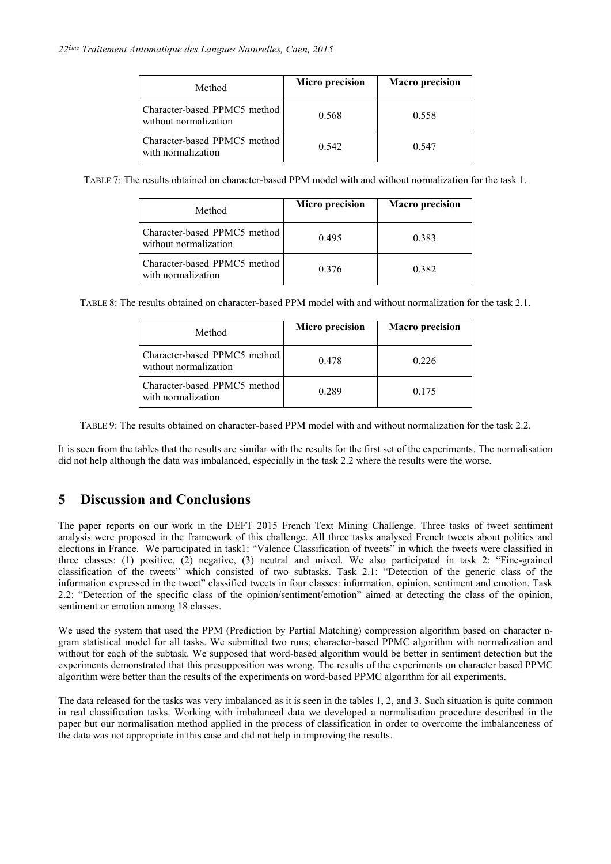| Method                                                | Micro precision | <b>Macro</b> precision |
|-------------------------------------------------------|-----------------|------------------------|
| Character-based PPMC5 method<br>without normalization | 0.568           | 0.558                  |
| Character-based PPMC5 method<br>with normalization    | 0.542           | 0.547                  |

TABLE 7: The results obtained on character-based PPM model with and without normalization for the task 1.

| Method                                                | Micro precision | <b>Macro</b> precision |
|-------------------------------------------------------|-----------------|------------------------|
| Character-based PPMC5 method<br>without normalization | 0.495           | 0.383                  |
| Character-based PPMC5 method<br>with normalization    | 0.376           | 0.382                  |

TABLE 8: The results obtained on character-based PPM model with and without normalization for the task 2.1.

| Method                                                | Micro precision | <b>Macro</b> precision |
|-------------------------------------------------------|-----------------|------------------------|
| Character-based PPMC5 method<br>without normalization | 0.478           | 0.226                  |
| Character-based PPMC5 method<br>with normalization    | 0.289           | 0.175                  |

TABLE 9: The results obtained on character-based PPM model with and without normalization for the task 2.2.

It is seen from the tables that the results are similar with the results for the first set of the experiments. The normalisation did not help although the data was imbalanced, especially in the task 2.2 where the results were the worse.

# **5 Discussion and Conclusions**

The paper reports on our work in the DEFT 2015 French Text Mining Challenge. Three tasks of tweet sentiment analysis were proposed in the framework of this challenge. All three tasks analysed French tweets about politics and elections in France. We participated in task1: "Valence Classification of tweets" in which the tweets were classified in three classes: (1) positive, (2) negative, (3) neutral and mixed. We also participated in task 2: "Fine-grained classification of the tweets" which consisted of two subtasks. Task 2.1: "Detection of the generic class of the information expressed in the tweet" classified tweets in four classes: information, opinion, sentiment and emotion. Task 2.2: "Detection of the specific class of the opinion/sentiment/emotion" aimed at detecting the class of the opinion, sentiment or emotion among 18 classes.

We used the system that used the PPM (Prediction by Partial Matching) compression algorithm based on character ngram statistical model for all tasks. We submitted two runs; character-based PPMC algorithm with normalization and without for each of the subtask. We supposed that word-based algorithm would be better in sentiment detection but the experiments demonstrated that this presupposition was wrong. The results of the experiments on character based PPMC algorithm were better than the results of the experiments on word-based PPMC algorithm for all experiments.

The data released for the tasks was very imbalanced as it is seen in the tables 1, 2, and 3. Such situation is quite common in real classification tasks. Working with imbalanced data we developed a normalisation procedure described in the paper but our normalisation method applied in the process of classification in order to overcome the imbalanceness of the data was not appropriate in this case and did not help in improving the results.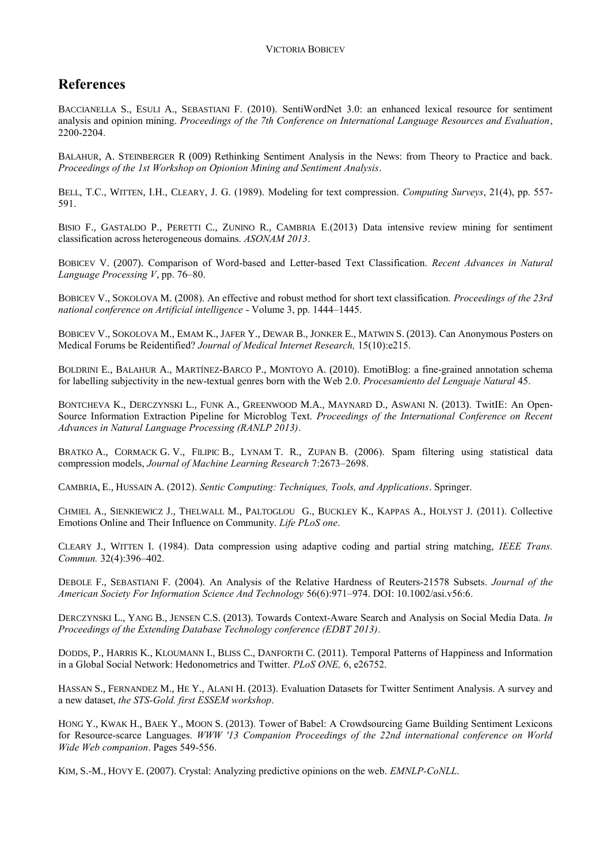# **References**

BACCIANELLA S., ESULI A., SEBASTIANI F. (2010). SentiWordNet 3.0: an enhanced lexical resource for sentiment analysis and opinion mining. *Proceedings of the 7th Conference on International Language Resources and Evaluation*, 2200-2204.

BALAHUR, A. STEINBERGER R (009) Rethinking Sentiment Analysis in the News: from Theory to Practice and back. *Proceedings of the 1st Workshop on Opionion Mining and Sentiment Analysis*.

BELL, T.C., WITTEN, I.H., CLEARY, J. G. (1989). Modeling for text compression. *Computing Surveys*, 21(4), pp. 557- 591.

BISIO F., GASTALDO P., PERETTI C., ZUNINO R., CAMBRIA E.(2013) Data intensive review mining for sentiment classification across heterogeneous domains. *ASONAM 2013*.

BOBICEV V. (2007). Comparison of Word-based and Letter-based Text Classification. *Recent Advances in Natural Language Processing V*, pp. 76–80.

BOBICEV V., SOKOLOVA M. (2008). An effective and robust method for short text classification. *Proceedings of the 23rd national conference on Artificial intelligence* - Volume 3, pp. 1444–1445.

BOBICEV V., SOKOLOVA M., EMAM K., JAFER Y., DEWAR B., JONKER E., MATWIN S. (2013). Can Anonymous Posters on Medical Forums be Reidentified? *Journal of Medical Internet Research,* 15(10):e215.

BOLDRINI E., BALAHUR A., MARTÍNEZ-BARCO P., MONTOYO A. (2010). EmotiBlog: a fine-grained annotation schema for labelling subjectivity in the new-textual genres born with the Web 2.0. *Procesamiento del Lenguaje Natural* 45.

BONTCHEVA K., DERCZYNSKI L., FUNK A., GREENWOOD M.A., MAYNARD D., ASWANI N. (2013). TwitIE: An Open-Source Information Extraction Pipeline for Microblog Text. *Proceedings of the International Conference on Recent Advances in Natural Language Processing (RANLP 2013)*.

BRATKO A., CORMACK G. V., FILIPIC B., LYNAM T. R., ZUPAN B. (2006). Spam filtering using statistical data compression models, *Journal of Machine Learning Research* 7:2673–2698.

CAMBRIA, E., HUSSAIN A. (2012). *Sentic Computing: Techniques, Tools, and Applications*. Springer.

CHMIEL A., SIENKIEWICZ J., THELWALL M., PALTOGLOU G., BUCKLEY K., KAPPAS A., HOLYST J. (2011). Collective Emotions Online and Their Influence on Community. *Life PLoS one*.

CLEARY J., WITTEN I. (1984). Data compression using adaptive coding and partial string matching, *IEEE Trans. Commun.* 32(4):396–402.

DEBOLE F., SEBASTIANI F. (2004). An Analysis of the Relative Hardness of Reuters-21578 Subsets. *Journal of the American Society For Information Science And Technology* 56(6):971–974. DOI[: 10.1002/asi.v56:6.](http://dx.doi.org/10.1002/asi.v56:6)

DERCZYNSKI L., YANG B., JENSEN C.S. (2013). Towards Context-Aware Search and Analysis on Social Media Data. *In Proceedings of the Extending Database Technology conference (EDBT 2013)*.

DODDS, P., HARRIS K., KLOUMANN I., BLISS C., DANFORTH C. (2011). Temporal Patterns of Happiness and Information in a Global Social Network: Hedonometrics and Twitter. *PLoS ONE,* 6, e26752.

HASSAN S., FERNANDEZ M., HE Y., ALANI H. (2013). Evaluation Datasets for Twitter Sentiment Analysis. A survey and a new dataset, *the STS-Gold. first ESSEM workshop*.

HONG Y., KWAK H., BAEK Y., MOON S. (2013). Tower of Babel: A Crowdsourcing Game Building Sentiment Lexicons for Resource-scarce Languages. *WWW '13 Companion Proceedings of the 22nd international conference on World Wide Web companion*. Pages 549-556.

KIM, S.-M., HOVY E. (2007). Crystal: Analyzing predictive opinions on the web. *EMNLP-CoNLL*.